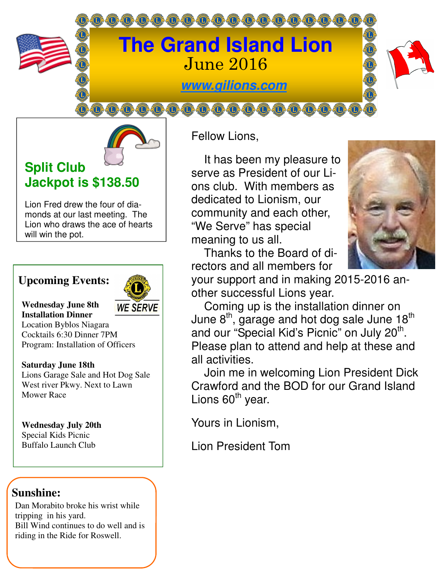



# **Split Club Jackpot is \$138.50**

Lion Fred drew the four of diamonds at our last meeting. The Lion who draws the ace of hearts will win the pot.

## **Upcoming Events:**



**Wednesday June 8th Installation Dinner** 

Location Byblos Niagara Cocktails 6:30 Dinner 7PM Program: Installation of Officers

**Saturday June 18th**  Lions Garage Sale and Hot Dog Sale West river Pkwy. Next to Lawn Mower Race

**Wednesday July 20th**  Special Kids Picnic Buffalo Launch Club

## **Sunshine:**

Dan Morabito broke his wrist while tripping in his yard. Bill Wind continues to do well and is riding in the Ride for Roswell.

Fellow Lions,

 It has been my pleasure to serve as President of our Lions club. With members as dedicated to Lionism, our community and each other, "We Serve" has special meaning to us all.

 Thanks to the Board of directors and all members for



your support and in making 2015-2016 another successful Lions year.

 Coming up is the installation dinner on June  $8<sup>th</sup>$ , garage and hot dog sale June 18<sup>th</sup> and our "Special Kid's Picnic" on July 20<sup>th</sup>. Please plan to attend and help at these and all activities.

 Join me in welcoming Lion President Dick Crawford and the BOD for our Grand Island Lions  $60<sup>th</sup>$  year.

Yours in Lionism,

Lion President Tom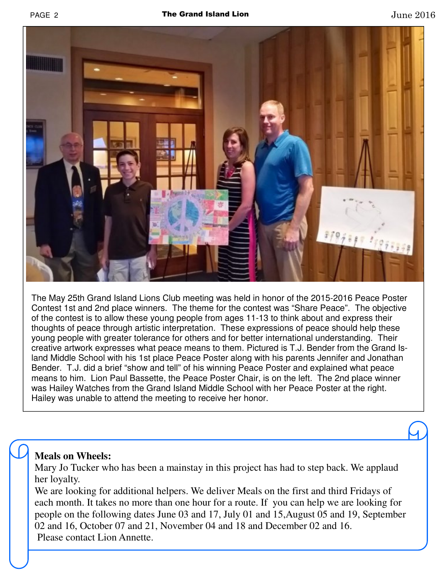

The May 25th Grand Island Lions Club meeting was held in honor of the 2015-2016 Peace Poster Contest 1st and 2nd place winners. The theme for the contest was "Share Peace". The objective of the contest is to allow these young people from ages 11-13 to think about and express their thoughts of peace through artistic interpretation. These expressions of peace should help these young people with greater tolerance for others and for better international understanding. Their creative artwork expresses what peace means to them. Pictured is T.J. Bender from the Grand Island Middle School with his 1st place Peace Poster along with his parents Jennifer and Jonathan Bender. T.J. did a brief "show and tell" of his winning Peace Poster and explained what peace means to him. Lion Paul Bassette, the Peace Poster Chair, is on the left. The 2nd place winner was Hailey Watches from the Grand Island Middle School with her Peace Poster at the right. Hailey was unable to attend the meeting to receive her honor.

#### **Meals on Wheels:**

Mary Jo Tucker who has been a mainstay in this project has had to step back. We applaud her loyalty.

We are looking for additional helpers. We deliver Meals on the first and third Fridays of each month. It takes no more than one hour for a route. If you can help we are looking for people on the following dates June 03 and 17, July 01 and 15,August 05 and 19, September 02 and 16, October 07 and 21, November 04 and 18 and December 02 and 16. Please contact Lion Annette.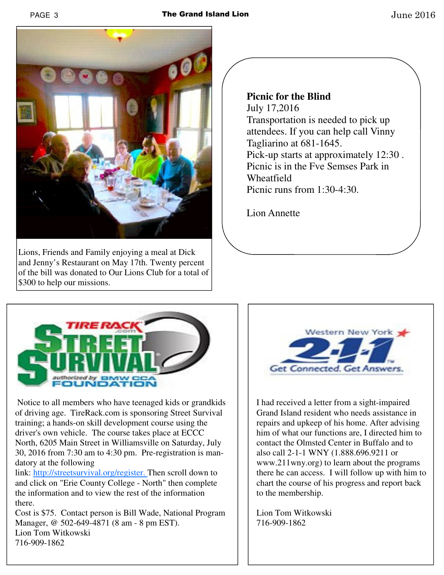

Lions, Friends and Family enjoying a meal at Dick and Jenny's Restaurant on May 17th. Twenty percent of the bill was donated to Our Lions Club for a total of \$300 to help our missions.

**Picnic for the Blind**  July 17,2016 Transportation is needed to pick up attendees. If you can help call Vinny Tagliarino at 681-1645. Pick-up starts at approximately 12:30 . Picnic is in the Fve Semses Park in Wheatfield Picnic runs from 1:30-4:30.

Lion Annette



 Notice to all members who have teenaged kids or grandkids of driving age. TireRack.com is sponsoring Street Survival training; a hands-on skill development course using the driver's own vehicle. The course takes place at ECCC North, 6205 Main Street in Williamsville on Saturday, July 30, 2016 from 7:30 am to 4:30 pm. Pre-registration is mandatory at the following

link: http://streetsurvival.org/register. Then scroll down to and click on "Erie County College - North" then complete the information and to view the rest of the information there.

Cost is \$75. Contact person is Bill Wade, National Program Manager, @ 502-649-4871 (8 am - 8 pm EST). Lion Tom Witkowski 716-909-1862



I had received a letter from a sight-impaired Grand Island resident who needs assistance in repairs and upkeep of his home. After advising him of what our functions are, I directed him to contact the Olmsted Center in Buffalo and to also call 2-1-1 WNY (1.888.696.9211 or www.211wny.org) to learn about the programs there he can access. I will follow up with him to chart the course of his progress and report back to the membership.

Lion Tom Witkowski 716-909-1862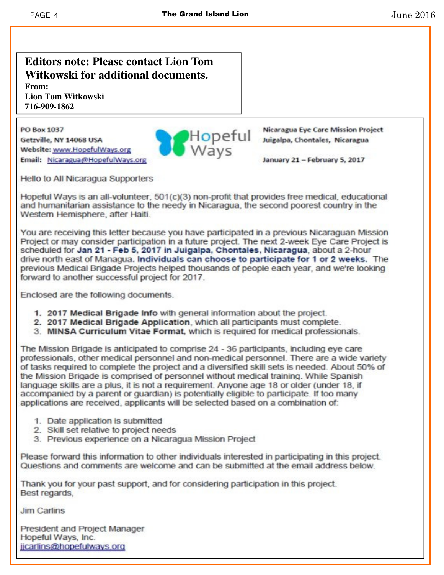#### **Editors note: Please contact Lion Tom** Witkowski for additional documents. From:

**Lion Tom Witkowski** 716-909-1862

PO Box 1037 Getzville, NY 14068 USA Website: www.HopefulWays.org Email: Nicaragua@HopefulWays.org



**Nicaragua Eye Care Mission Project** 

January 21 - February 5, 2017

Hello to All Nicaragua Supporters

Hopeful Ways is an all-volunteer, 501(c)(3) non-profit that provides free medical, educational and humanitarian assistance to the needy in Nicaragua, the second poorest country in the Western Hemisphere, after Haiti.

You are receiving this letter because you have participated in a previous Nicaraguan Mission Project or may consider participation in a future project. The next 2-week Eye Care Project is scheduled for Jan 21 - Feb 5, 2017 in Juigalpa, Chontales, Nicaragua, about a 2-hour drive north east of Managua. Individuals can choose to participate for 1 or 2 weeks. The previous Medical Brigade Projects helped thousands of people each year, and we're looking forward to another successful project for 2017.

Enclosed are the following documents.

- 1. 2017 Medical Brigade Info with general information about the project.
- 2. 2017 Medical Brigade Application, which all participants must complete.
- 3. MINSA Curriculum Vitae Format, which is required for medical professionals.

The Mission Brigade is anticipated to comprise 24 - 36 participants, including eve care professionals, other medical personnel and non-medical personnel. There are a wide variety of tasks required to complete the project and a diversified skill sets is needed. About 50% of the Mission Brigade is comprised of personnel without medical training. While Spanish language skills are a plus, it is not a requirement. Anyone age 18 or older (under 18, if accompanied by a parent or quardian) is potentially eligible to participate. If too many applications are received, applicants will be selected based on a combination of:

- 1. Date application is submitted
- 2. Skill set relative to project needs
- 3. Previous experience on a Nicaragua Mission Project

Please forward this information to other individuals interested in participating in this project. Questions and comments are welcome and can be submitted at the email address below.

Thank you for your past support, and for considering participation in this project. Best regards.

**Jim Carlins** 

President and Project Manager Hopeful Ways, Inc. jicarlins@hopefulways.org